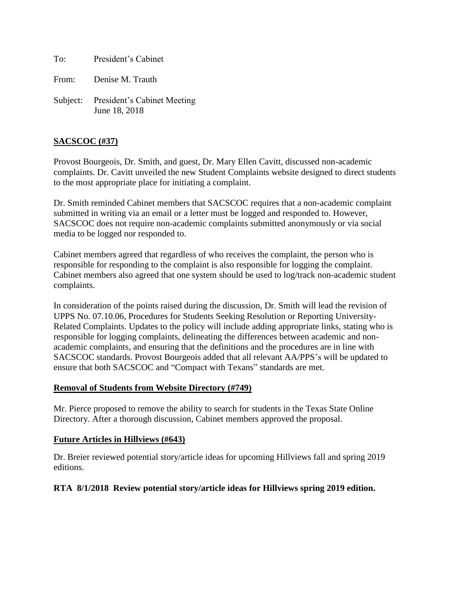To: President's Cabinet

From: Denise M. Trauth

Subject: President's Cabinet Meeting June 18, 2018

## **SACSCOC (#37)**

Provost Bourgeois, Dr. Smith, and guest, Dr. Mary Ellen Cavitt, discussed non-academic complaints. Dr. Cavitt unveiled the new Student Complaints website designed to direct students to the most appropriate place for initiating a complaint.

Dr. Smith reminded Cabinet members that SACSCOC requires that a non-academic complaint submitted in writing via an email or a letter must be logged and responded to. However, SACSCOC does not require non-academic complaints submitted anonymously or via social media to be logged nor responded to.

Cabinet members agreed that regardless of who receives the complaint, the person who is responsible for responding to the complaint is also responsible for logging the complaint. Cabinet members also agreed that one system should be used to log/track non-academic student complaints.

In consideration of the points raised during the discussion, Dr. Smith will lead the revision of UPPS No. 07.10.06, Procedures for Students Seeking Resolution or Reporting University-Related Complaints. Updates to the policy will include adding appropriate links, stating who is responsible for logging complaints, delineating the differences between academic and nonacademic complaints, and ensuring that the definitions and the procedures are in line with SACSCOC standards. Provost Bourgeois added that all relevant AA/PPS's will be updated to ensure that both SACSCOC and "Compact with Texans" standards are met.

#### **Removal of Students from Website Directory (#749)**

Mr. Pierce proposed to remove the ability to search for students in the Texas State Online Directory. After a thorough discussion, Cabinet members approved the proposal.

### **Future Articles in Hillviews (#643)**

Dr. Breier reviewed potential story/article ideas for upcoming Hillviews fall and spring 2019 editions.

### **RTA 8/1/2018 Review potential story/article ideas for Hillviews spring 2019 edition.**